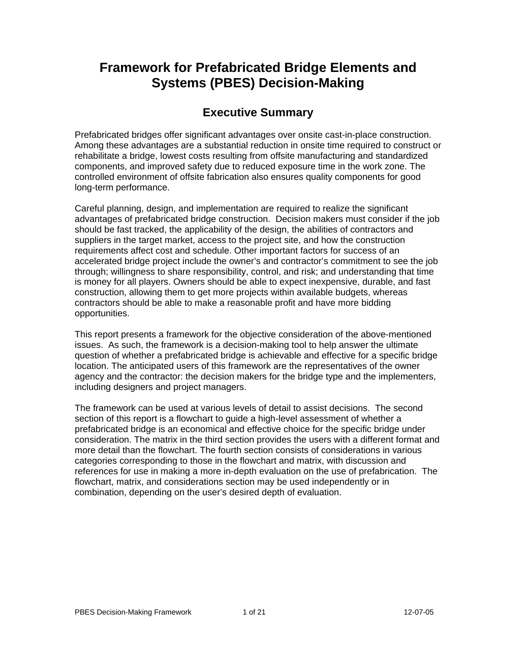# **Framework for Prefabricated Bridge Elements and Systems (PBES) Decision-Making**

### **Executive Summary**

Prefabricated bridges offer significant advantages over onsite cast-in-place construction. Among these advantages are a substantial reduction in onsite time required to construct or rehabilitate a bridge, lowest costs resulting from offsite manufacturing and standardized components, and improved safety due to reduced exposure time in the work zone. The controlled environment of offsite fabrication also ensures quality components for good long-term performance.

Careful planning, design, and implementation are required to realize the significant advantages of prefabricated bridge construction. Decision makers must consider if the job should be fast tracked, the applicability of the design, the abilities of contractors and suppliers in the target market, access to the project site, and how the construction requirements affect cost and schedule. Other important factors for success of an accelerated bridge project include the owner's and contractor's commitment to see the job through; willingness to share responsibility, control, and risk; and understanding that time is money for all players. Owners should be able to expect inexpensive, durable, and fast construction, allowing them to get more projects within available budgets, whereas contractors should be able to make a reasonable profit and have more bidding opportunities.

This report presents a framework for the objective consideration of the above-mentioned issues. As such, the framework is a decision-making tool to help answer the ultimate question of whether a prefabricated bridge is achievable and effective for a specific bridge location. The anticipated users of this framework are the representatives of the owner agency and the contractor: the decision makers for the bridge type and the implementers, including designers and project managers.

The framework can be used at various levels of detail to assist decisions. The second section of this report is a flowchart to guide a high-level assessment of whether a prefabricated bridge is an economical and effective choice for the specific bridge under consideration. The matrix in the third section provides the users with a different format and more detail than the flowchart. The fourth section consists of considerations in various categories corresponding to those in the flowchart and matrix, with discussion and references for use in making a more in-depth evaluation on the use of prefabrication. The flowchart, matrix, and considerations section may be used independently or in combination, depending on the user's desired depth of evaluation.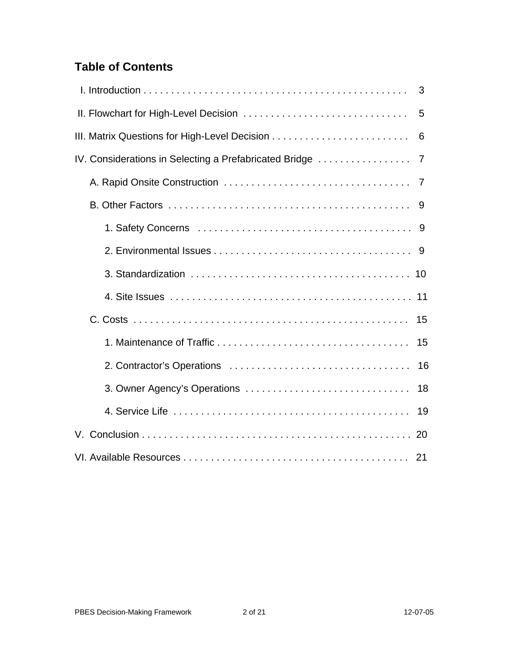# **Table of Contents**

| 3                                                         |  |
|-----------------------------------------------------------|--|
| 5                                                         |  |
| 6                                                         |  |
| IV. Considerations in Selecting a Prefabricated Bridge  7 |  |
|                                                           |  |
|                                                           |  |
|                                                           |  |
|                                                           |  |
|                                                           |  |
|                                                           |  |
| 15                                                        |  |
| 15                                                        |  |
| 16                                                        |  |
| 18                                                        |  |
| 19                                                        |  |
|                                                           |  |
| 21                                                        |  |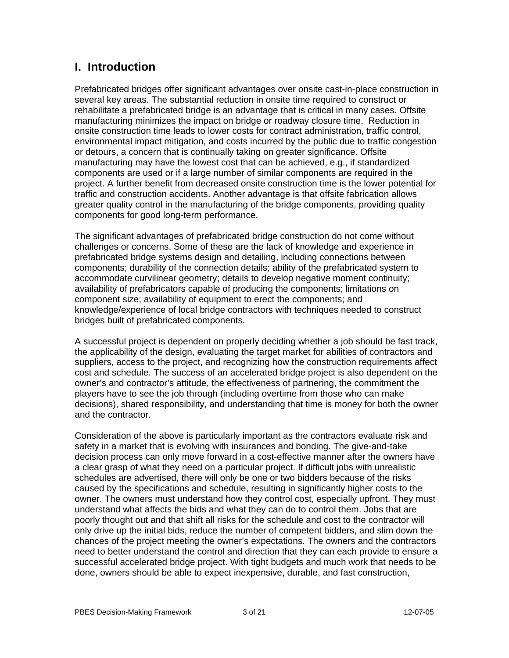### **I. Introduction**

Prefabricated bridges offer significant advantages over onsite cast-in-place construction in several key areas. The substantial reduction in onsite time required to construct or rehabilitate a prefabricated bridge is an advantage that is critical in many cases. Offsite manufacturing minimizes the impact on bridge or roadway closure time. Reduction in onsite construction time leads to lower costs for contract administration, traffic control, environmental impact mitigation, and costs incurred by the public due to traffic congestion or detours, a concern that is continually taking on greater significance. Offsite manufacturing may have the lowest cost that can be achieved, e.g., if standardized components are used or if a large number of similar components are required in the project. A further benefit from decreased onsite construction time is the lower potential for traffic and construction accidents. Another advantage is that offsite fabrication allows greater quality control in the manufacturing of the bridge components, providing quality components for good long-term performance.

The significant advantages of prefabricated bridge construction do not come without challenges or concerns. Some of these are the lack of knowledge and experience in prefabricated bridge systems design and detailing, including connections between components; durability of the connection details; ability of the prefabricated system to accommodate curvilinear geometry; details to develop negative moment continuity; availability of prefabricators capable of producing the components; limitations on component size; availability of equipment to erect the components; and knowledge/experience of local bridge contractors with techniques needed to construct bridges built of prefabricated components.

A successful project is dependent on properly deciding whether a job should be fast track, the applicability of the design, evaluating the target market for abilities of contractors and suppliers, access to the project, and recognizing how the construction requirements affect cost and schedule. The success of an accelerated bridge project is also dependent on the owner's and contractor's attitude, the effectiveness of partnering, the commitment the players have to see the job through (including overtime from those who can make decisions), shared responsibility, and understanding that time is money for both the owner and the contractor.

Consideration of the above is particularly important as the contractors evaluate risk and safety in a market that is evolving with insurances and bonding. The give-and-take decision process can only move forward in a cost-effective manner after the owners have a clear grasp of what they need on a particular project. If difficult jobs with unrealistic schedules are advertised, there will only be one or two bidders because of the risks caused by the specifications and schedule, resulting in significantly higher costs to the owner. The owners must understand how they control cost, especially upfront. They must understand what affects the bids and what they can do to control them. Jobs that are poorly thought out and that shift all risks for the schedule and cost to the contractor will only drive up the initial bids, reduce the number of competent bidders, and slim down the chances of the project meeting the owner's expectations. The owners and the contractors need to better understand the control and direction that they can each provide to ensure a successful accelerated bridge project. With tight budgets and much work that needs to be done, owners should be able to expect inexpensive, durable, and fast construction,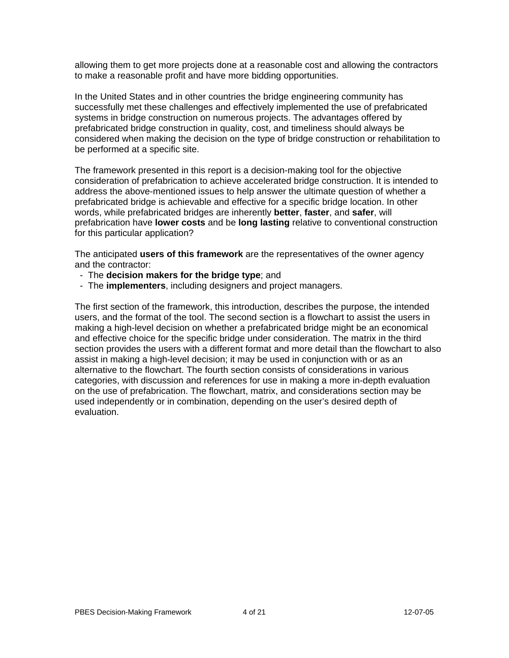allowing them to get more projects done at a reasonable cost and allowing the contractors to make a reasonable profit and have more bidding opportunities.

In the United States and in other countries the bridge engineering community has successfully met these challenges and effectively implemented the use of prefabricated systems in bridge construction on numerous projects. The advantages offered by prefabricated bridge construction in quality, cost, and timeliness should always be considered when making the decision on the type of bridge construction or rehabilitation to be performed at a specific site.

The framework presented in this report is a decision-making tool for the objective consideration of prefabrication to achieve accelerated bridge construction. It is intended to address the above-mentioned issues to help answer the ultimate question of whether a prefabricated bridge is achievable and effective for a specific bridge location. In other words, while prefabricated bridges are inherently **better**, **faster**, and **safer**, will prefabrication have **lower costs** and be **long lasting** relative to conventional construction for this particular application?

The anticipated **users of this framework** are the representatives of the owner agency and the contractor:

- The **decision makers for the bridge type**; and
- The **implementers**, including designers and project managers.

The first section of the framework, this introduction, describes the purpose, the intended users, and the format of the tool. The second section is a flowchart to assist the users in making a high-level decision on whether a prefabricated bridge might be an economical and effective choice for the specific bridge under consideration. The matrix in the third section provides the users with a different format and more detail than the flowchart to also assist in making a high-level decision; it may be used in conjunction with or as an alternative to the flowchart. The fourth section consists of considerations in various categories, with discussion and references for use in making a more in-depth evaluation on the use of prefabrication. The flowchart, matrix, and considerations section may be used independently or in combination, depending on the user's desired depth of evaluation.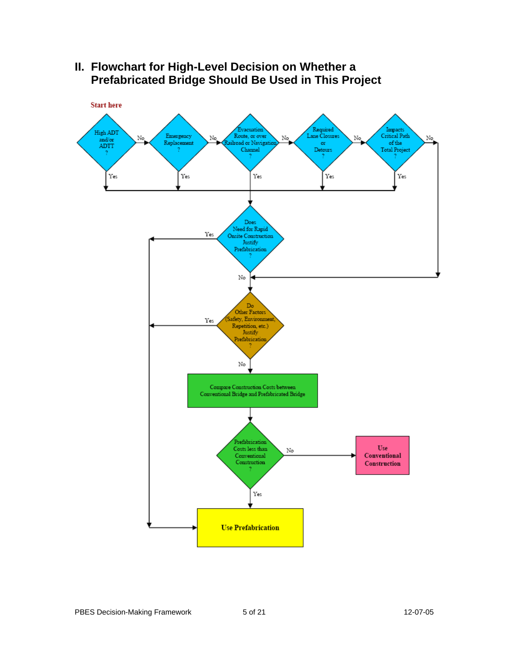

**II. Flowchart for High-Level Decision on Whether a Prefabricated Bridge Should Be Used in This Project**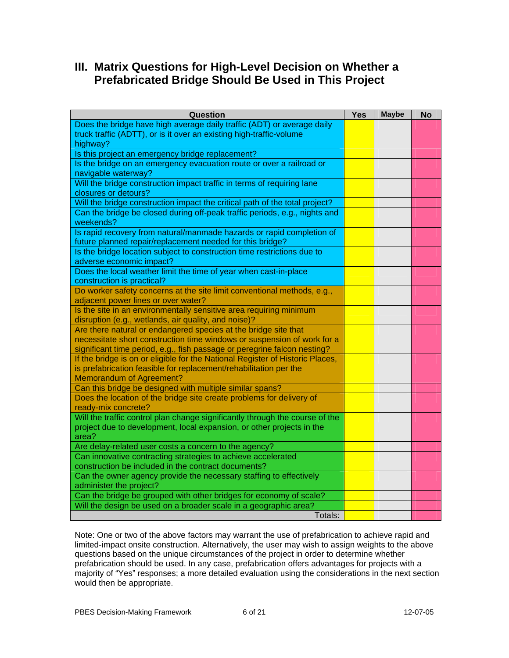### **III. Matrix Questions for High-Level Decision on Whether a Prefabricated Bridge Should Be Used in This Project**

| Question                                                                      | <b>Yes</b> | <b>Maybe</b> | No |
|-------------------------------------------------------------------------------|------------|--------------|----|
| Does the bridge have high average daily traffic (ADT) or average daily        |            |              |    |
| truck traffic (ADTT), or is it over an existing high-traffic-volume           |            |              |    |
| highway?                                                                      |            |              |    |
| Is this project an emergency bridge replacement?                              |            |              |    |
| Is the bridge on an emergency evacuation route or over a railroad or          |            |              |    |
| navigable waterway?                                                           |            |              |    |
| Will the bridge construction impact traffic in terms of requiring lane        |            |              |    |
| closures or detours?                                                          |            |              |    |
| Will the bridge construction impact the critical path of the total project?   |            |              |    |
| Can the bridge be closed during off-peak traffic periods, e.g., nights and    |            |              |    |
| weekends?                                                                     |            |              |    |
| Is rapid recovery from natural/manmade hazards or rapid completion of         |            |              |    |
| future planned repair/replacement needed for this bridge?                     |            |              |    |
| Is the bridge location subject to construction time restrictions due to       |            |              |    |
| adverse economic impact?                                                      |            |              |    |
| Does the local weather limit the time of year when cast-in-place              |            |              |    |
| construction is practical?                                                    |            |              |    |
| Do worker safety concerns at the site limit conventional methods, e.g.,       |            |              |    |
| adjacent power lines or over water?                                           |            |              |    |
| Is the site in an environmentally sensitive area requiring minimum            |            |              |    |
| disruption (e.g., wetlands, air quality, and noise)?                          |            |              |    |
| Are there natural or endangered species at the bridge site that               |            |              |    |
| necessitate short construction time windows or suspension of work for a       |            |              |    |
| significant time period, e.g., fish passage or peregrine falcon nesting?      |            |              |    |
| If the bridge is on or eligible for the National Register of Historic Places, |            |              |    |
| is prefabrication feasible for replacement/rehabilitation per the             |            |              |    |
| Memorandum of Agreement?                                                      |            |              |    |
| Can this bridge be designed with multiple similar spans?                      |            |              |    |
| Does the location of the bridge site create problems for delivery of          |            |              |    |
| ready-mix concrete?                                                           |            |              |    |
| Will the traffic control plan change significantly through the course of the  |            |              |    |
| project due to development, local expansion, or other projects in the         |            |              |    |
| area?                                                                         |            |              |    |
| Are delay-related user costs a concern to the agency?                         |            |              |    |
| Can innovative contracting strategies to achieve accelerated                  |            |              |    |
| construction be included in the contract documents?                           |            |              |    |
| Can the owner agency provide the necessary staffing to effectively            |            |              |    |
| administer the project?                                                       |            |              |    |
| Can the bridge be grouped with other bridges for economy of scale?            |            |              |    |
| Will the design be used on a broader scale in a geographic area?              |            |              |    |
| Totals:                                                                       |            |              |    |

Note: One or two of the above factors may warrant the use of prefabrication to achieve rapid and limited-impact onsite construction. Alternatively, the user may wish to assign weights to the above questions based on the unique circumstances of the project in order to determine whether prefabrication should be used. In any case, prefabrication offers advantages for projects with a majority of "Yes" responses; a more detailed evaluation using the considerations in the next section would then be appropriate.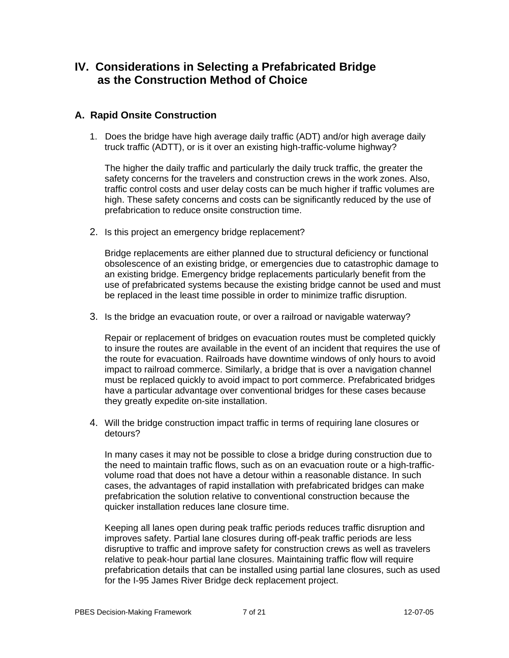### **IV. Considerations in Selecting a Prefabricated Bridge as the Construction Method of Choice**

#### **A. Rapid Onsite Construction**

1. Does the bridge have high average daily traffic (ADT) and/or high average daily truck traffic (ADTT), or is it over an existing high-traffic-volume highway?

The higher the daily traffic and particularly the daily truck traffic, the greater the safety concerns for the travelers and construction crews in the work zones. Also, traffic control costs and user delay costs can be much higher if traffic volumes are high. These safety concerns and costs can be significantly reduced by the use of prefabrication to reduce onsite construction time.

2. Is this project an emergency bridge replacement?

Bridge replacements are either planned due to structural deficiency or functional obsolescence of an existing bridge, or emergencies due to catastrophic damage to an existing bridge. Emergency bridge replacements particularly benefit from the use of prefabricated systems because the existing bridge cannot be used and must be replaced in the least time possible in order to minimize traffic disruption.

3. Is the bridge an evacuation route, or over a railroad or navigable waterway?

Repair or replacement of bridges on evacuation routes must be completed quickly to insure the routes are available in the event of an incident that requires the use of the route for evacuation. Railroads have downtime windows of only hours to avoid impact to railroad commerce. Similarly, a bridge that is over a navigation channel must be replaced quickly to avoid impact to port commerce. Prefabricated bridges have a particular advantage over conventional bridges for these cases because they greatly expedite on-site installation.

4. Will the bridge construction impact traffic in terms of requiring lane closures or detours?

In many cases it may not be possible to close a bridge during construction due to the need to maintain traffic flows, such as on an evacuation route or a high-trafficvolume road that does not have a detour within a reasonable distance. In such cases, the advantages of rapid installation with prefabricated bridges can make prefabrication the solution relative to conventional construction because the quicker installation reduces lane closure time.

Keeping all lanes open during peak traffic periods reduces traffic disruption and improves safety. Partial lane closures during off-peak traffic periods are less disruptive to traffic and improve safety for construction crews as well as travelers relative to peak-hour partial lane closures. Maintaining traffic flow will require prefabrication details that can be installed using partial lane closures, such as used for the I-95 James River Bridge deck replacement project.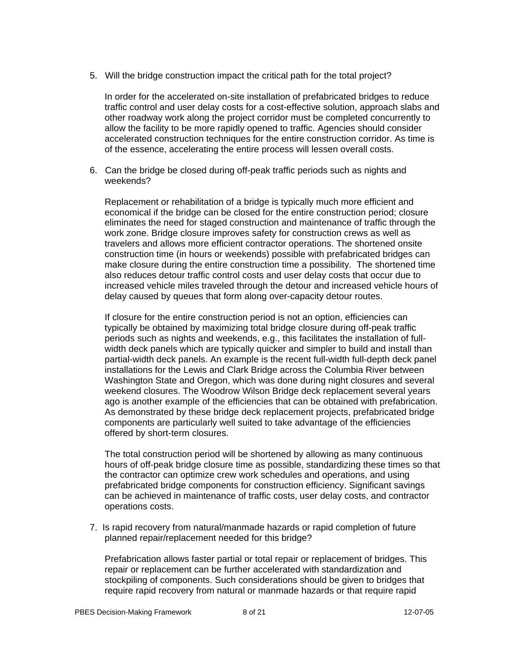5. Will the bridge construction impact the critical path for the total project?

In order for the accelerated on-site installation of prefabricated bridges to reduce traffic control and user delay costs for a cost-effective solution, approach slabs and other roadway work along the project corridor must be completed concurrently to allow the facility to be more rapidly opened to traffic. Agencies should consider accelerated construction techniques for the entire construction corridor. As time is of the essence, accelerating the entire process will lessen overall costs.

6. Can the bridge be closed during off-peak traffic periods such as nights and weekends?

Replacement or rehabilitation of a bridge is typically much more efficient and economical if the bridge can be closed for the entire construction period; closure eliminates the need for staged construction and maintenance of traffic through the work zone. Bridge closure improves safety for construction crews as well as travelers and allows more efficient contractor operations. The shortened onsite construction time (in hours or weekends) possible with prefabricated bridges can make closure during the entire construction time a possibility. The shortened time also reduces detour traffic control costs and user delay costs that occur due to increased vehicle miles traveled through the detour and increased vehicle hours of delay caused by queues that form along over-capacity detour routes.

If closure for the entire construction period is not an option, efficiencies can typically be obtained by maximizing total bridge closure during off-peak traffic periods such as nights and weekends, e.g., this facilitates the installation of fullwidth deck panels which are typically quicker and simpler to build and install than partial-width deck panels. An example is the recent full-width full-depth deck panel installations for the Lewis and Clark Bridge across the Columbia River between Washington State and Oregon, which was done during night closures and several weekend closures. The Woodrow Wilson Bridge deck replacement several years ago is another example of the efficiencies that can be obtained with prefabrication. As demonstrated by these bridge deck replacement projects, prefabricated bridge components are particularly well suited to take advantage of the efficiencies offered by short-term closures.

The total construction period will be shortened by allowing as many continuous hours of off-peak bridge closure time as possible, standardizing these times so that the contractor can optimize crew work schedules and operations, and using prefabricated bridge components for construction efficiency. Significant savings can be achieved in maintenance of traffic costs, user delay costs, and contractor operations costs.

7. Is rapid recovery from natural/manmade hazards or rapid completion of future planned repair/replacement needed for this bridge?

Prefabrication allows faster partial or total repair or replacement of bridges. This repair or replacement can be further accelerated with standardization and stockpiling of components. Such considerations should be given to bridges that require rapid recovery from natural or manmade hazards or that require rapid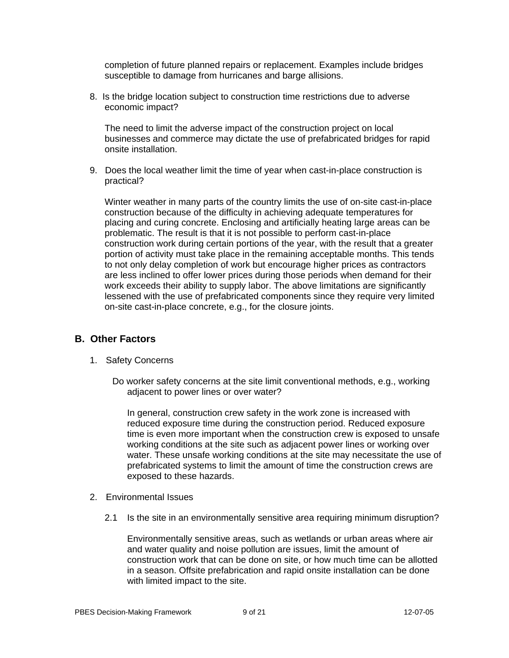completion of future planned repairs or replacement. Examples include bridges susceptible to damage from hurricanes and barge allisions.

8. Is the bridge location subject to construction time restrictions due to adverse economic impact?

The need to limit the adverse impact of the construction project on local businesses and commerce may dictate the use of prefabricated bridges for rapid onsite installation.

9. Does the local weather limit the time of year when cast-in-place construction is practical?

Winter weather in many parts of the country limits the use of on-site cast-in-place construction because of the difficulty in achieving adequate temperatures for placing and curing concrete. Enclosing and artificially heating large areas can be problematic. The result is that it is not possible to perform cast-in-place construction work during certain portions of the year, with the result that a greater portion of activity must take place in the remaining acceptable months. This tends to not only delay completion of work but encourage higher prices as contractors are less inclined to offer lower prices during those periods when demand for their work exceeds their ability to supply labor. The above limitations are significantly lessened with the use of prefabricated components since they require very limited on-site cast-in-place concrete, e.g., for the closure joints.

#### **B. Other Factors**

- 1. Safety Concerns
	- Do worker safety concerns at the site limit conventional methods, e.g., working adjacent to power lines or over water?

In general, construction crew safety in the work zone is increased with reduced exposure time during the construction period. Reduced exposure time is even more important when the construction crew is exposed to unsafe working conditions at the site such as adjacent power lines or working over water. These unsafe working conditions at the site may necessitate the use of prefabricated systems to limit the amount of time the construction crews are exposed to these hazards.

- 2. Environmental Issues
	- 2.1 Is the site in an environmentally sensitive area requiring minimum disruption?

Environmentally sensitive areas, such as wetlands or urban areas where air and water quality and noise pollution are issues, limit the amount of construction work that can be done on site, or how much time can be allotted in a season. Offsite prefabrication and rapid onsite installation can be done with limited impact to the site.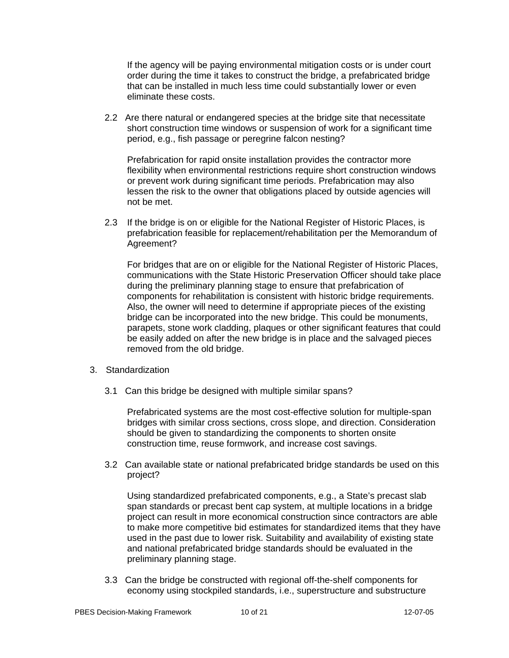If the agency will be paying environmental mitigation costs or is under court order during the time it takes to construct the bridge, a prefabricated bridge that can be installed in much less time could substantially lower or even eliminate these costs.

2.2 Are there natural or endangered species at the bridge site that necessitate short construction time windows or suspension of work for a significant time period, e.g., fish passage or peregrine falcon nesting?

Prefabrication for rapid onsite installation provides the contractor more flexibility when environmental restrictions require short construction windows or prevent work during significant time periods. Prefabrication may also lessen the risk to the owner that obligations placed by outside agencies will not be met.

2.3 If the bridge is on or eligible for the National Register of Historic Places, is prefabrication feasible for replacement/rehabilitation per the Memorandum of Agreement?

For bridges that are on or eligible for the National Register of Historic Places, communications with the State Historic Preservation Officer should take place during the preliminary planning stage to ensure that prefabrication of components for rehabilitation is consistent with historic bridge requirements. Also, the owner will need to determine if appropriate pieces of the existing bridge can be incorporated into the new bridge. This could be monuments, parapets, stone work cladding, plaques or other significant features that could be easily added on after the new bridge is in place and the salvaged pieces removed from the old bridge.

- 3. Standardization
	- 3.1 Can this bridge be designed with multiple similar spans?

Prefabricated systems are the most cost-effective solution for multiple-span bridges with similar cross sections, cross slope, and direction. Consideration should be given to standardizing the components to shorten onsite construction time, reuse formwork, and increase cost savings.

3.2 Can available state or national prefabricated bridge standards be used on this project?

Using standardized prefabricated components, e.g., a State's precast slab span standards or precast bent cap system, at multiple locations in a bridge project can result in more economical construction since contractors are able to make more competitive bid estimates for standardized items that they have used in the past due to lower risk. Suitability and availability of existing state and national prefabricated bridge standards should be evaluated in the preliminary planning stage.

3.3 Can the bridge be constructed with regional off-the-shelf components for economy using stockpiled standards, i.e., superstructure and substructure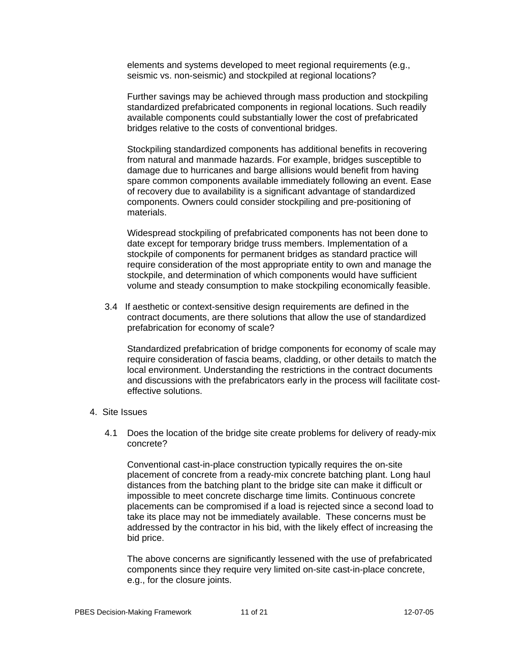elements and systems developed to meet regional requirements (e.g., seismic vs. non-seismic) and stockpiled at regional locations?

Further savings may be achieved through mass production and stockpiling standardized prefabricated components in regional locations. Such readily available components could substantially lower the cost of prefabricated bridges relative to the costs of conventional bridges.

Stockpiling standardized components has additional benefits in recovering from natural and manmade hazards. For example, bridges susceptible to damage due to hurricanes and barge allisions would benefit from having spare common components available immediately following an event. Ease of recovery due to availability is a significant advantage of standardized components. Owners could consider stockpiling and pre-positioning of materials.

Widespread stockpiling of prefabricated components has not been done to date except for temporary bridge truss members. Implementation of a stockpile of components for permanent bridges as standard practice will require consideration of the most appropriate entity to own and manage the stockpile, and determination of which components would have sufficient volume and steady consumption to make stockpiling economically feasible.

3.4 If aesthetic or context-sensitive design requirements are defined in the contract documents, are there solutions that allow the use of standardized prefabrication for economy of scale?

Standardized prefabrication of bridge components for economy of scale may require consideration of fascia beams, cladding, or other details to match the local environment. Understanding the restrictions in the contract documents and discussions with the prefabricators early in the process will facilitate costeffective solutions.

- 4. Site Issues
	- 4.1 Does the location of the bridge site create problems for delivery of ready-mix concrete?

Conventional cast-in-place construction typically requires the on-site placement of concrete from a ready-mix concrete batching plant. Long haul distances from the batching plant to the bridge site can make it difficult or impossible to meet concrete discharge time limits. Continuous concrete placements can be compromised if a load is rejected since a second load to take its place may not be immediately available. These concerns must be addressed by the contractor in his bid, with the likely effect of increasing the bid price.

The above concerns are significantly lessened with the use of prefabricated components since they require very limited on-site cast-in-place concrete, e.g., for the closure joints.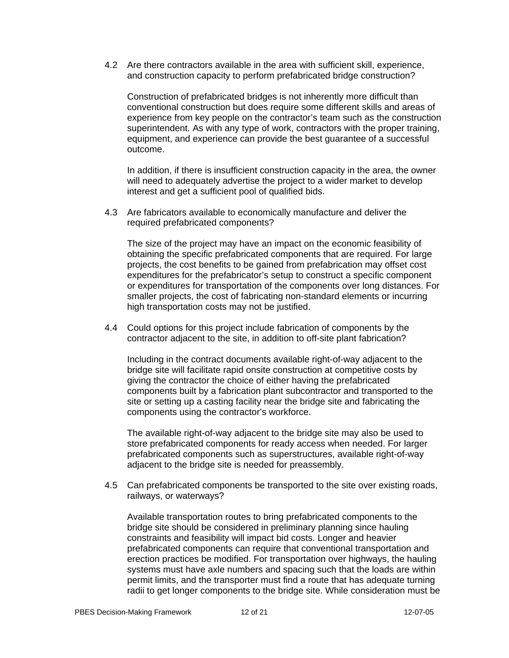4.2 Are there contractors available in the area with sufficient skill, experience, and construction capacity to perform prefabricated bridge construction?

Construction of prefabricated bridges is not inherently more difficult than conventional construction but does require some different skills and areas of experience from key people on the contractor's team such as the construction superintendent. As with any type of work, contractors with the proper training, equipment, and experience can provide the best guarantee of a successful outcome.

In addition, if there is insufficient construction capacity in the area, the owner will need to adequately advertise the project to a wider market to develop interest and get a sufficient pool of qualified bids.

4.3 Are fabricators available to economically manufacture and deliver the required prefabricated components?

The size of the project may have an impact on the economic feasibility of obtaining the specific prefabricated components that are required. For large projects, the cost benefits to be gained from prefabrication may offset cost expenditures for the prefabricator's setup to construct a specific component or expenditures for transportation of the components over long distances. For smaller projects, the cost of fabricating non-standard elements or incurring high transportation costs may not be justified.

4.4 Could options for this project include fabrication of components by the contractor adjacent to the site, in addition to off-site plant fabrication?

Including in the contract documents available right-of-way adjacent to the bridge site will facilitate rapid onsite construction at competitive costs by giving the contractor the choice of either having the prefabricated components built by a fabrication plant subcontractor and transported to the site or setting up a casting facility near the bridge site and fabricating the components using the contractor's workforce.

The available right-of-way adjacent to the bridge site may also be used to store prefabricated components for ready access when needed. For larger prefabricated components such as superstructures, available right-of-way adjacent to the bridge site is needed for preassembly.

4.5 Can prefabricated components be transported to the site over existing roads, railways, or waterways?

Available transportation routes to bring prefabricated components to the bridge site should be considered in preliminary planning since hauling constraints and feasibility will impact bid costs. Longer and heavier prefabricated components can require that conventional transportation and erection practices be modified. For transportation over highways, the hauling systems must have axle numbers and spacing such that the loads are within permit limits, and the transporter must find a route that has adequate turning radii to get longer components to the bridge site. While consideration must be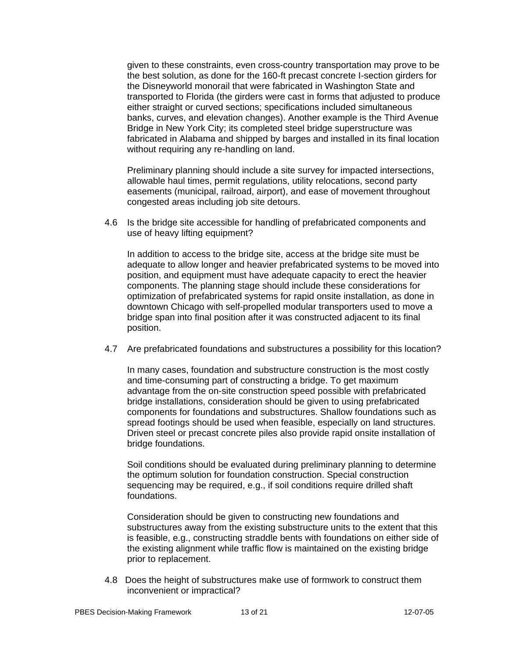given to these constraints, even cross-country transportation may prove to be the best solution, as done for the 160-ft precast concrete I-section girders for the Disneyworld monorail that were fabricated in Washington State and transported to Florida (the girders were cast in forms that adjusted to produce either straight or curved sections; specifications included simultaneous banks, curves, and elevation changes). Another example is the Third Avenue Bridge in New York City; its completed steel bridge superstructure was fabricated in Alabama and shipped by barges and installed in its final location without requiring any re-handling on land.

Preliminary planning should include a site survey for impacted intersections, allowable haul times, permit regulations, utility relocations, second party easements (municipal, railroad, airport), and ease of movement throughout congested areas including job site detours.

4.6 Is the bridge site accessible for handling of prefabricated components and use of heavy lifting equipment?

In addition to access to the bridge site, access at the bridge site must be adequate to allow longer and heavier prefabricated systems to be moved into position, and equipment must have adequate capacity to erect the heavier components. The planning stage should include these considerations for optimization of prefabricated systems for rapid onsite installation, as done in downtown Chicago with self-propelled modular transporters used to move a bridge span into final position after it was constructed adjacent to its final position.

4.7 Are prefabricated foundations and substructures a possibility for this location?

In many cases, foundation and substructure construction is the most costly and time-consuming part of constructing a bridge. To get maximum advantage from the on-site construction speed possible with prefabricated bridge installations, consideration should be given to using prefabricated components for foundations and substructures. Shallow foundations such as spread footings should be used when feasible, especially on land structures. Driven steel or precast concrete piles also provide rapid onsite installation of bridge foundations.

Soil conditions should be evaluated during preliminary planning to determine the optimum solution for foundation construction. Special construction sequencing may be required, e.g., if soil conditions require drilled shaft foundations.

Consideration should be given to constructing new foundations and substructures away from the existing substructure units to the extent that this is feasible, e.g., constructing straddle bents with foundations on either side of the existing alignment while traffic flow is maintained on the existing bridge prior to replacement.

4.8 Does the height of substructures make use of formwork to construct them inconvenient or impractical?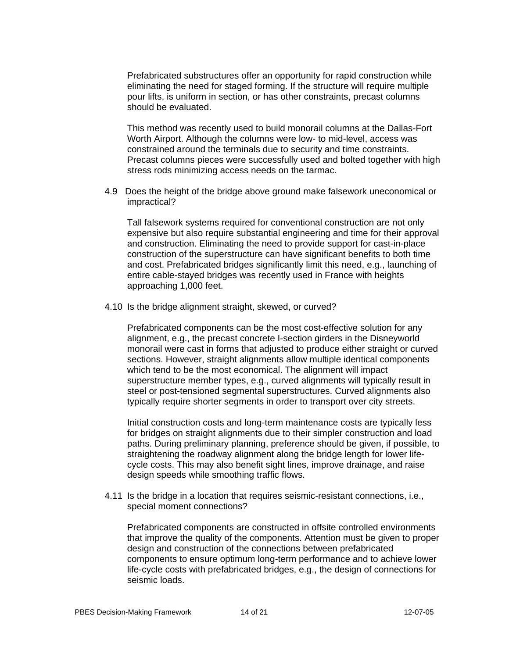Prefabricated substructures offer an opportunity for rapid construction while eliminating the need for staged forming. If the structure will require multiple pour lifts, is uniform in section, or has other constraints, precast columns should be evaluated.

This method was recently used to build monorail columns at the Dallas-Fort Worth Airport. Although the columns were low- to mid-level, access was constrained around the terminals due to security and time constraints. Precast columns pieces were successfully used and bolted together with high stress rods minimizing access needs on the tarmac.

4.9 Does the height of the bridge above ground make falsework uneconomical or impractical?

Tall falsework systems required for conventional construction are not only expensive but also require substantial engineering and time for their approval and construction. Eliminating the need to provide support for cast-in-place construction of the superstructure can have significant benefits to both time and cost. Prefabricated bridges significantly limit this need, e.g., launching of entire cable-stayed bridges was recently used in France with heights approaching 1,000 feet.

4.10 Is the bridge alignment straight, skewed, or curved?

Prefabricated components can be the most cost-effective solution for any alignment, e.g., the precast concrete I-section girders in the Disneyworld monorail were cast in forms that adjusted to produce either straight or curved sections. However, straight alignments allow multiple identical components which tend to be the most economical. The alignment will impact superstructure member types, e.g., curved alignments will typically result in steel or post-tensioned segmental superstructures. Curved alignments also typically require shorter segments in order to transport over city streets.

Initial construction costs and long-term maintenance costs are typically less for bridges on straight alignments due to their simpler construction and load paths. During preliminary planning, preference should be given, if possible, to straightening the roadway alignment along the bridge length for lower lifecycle costs. This may also benefit sight lines, improve drainage, and raise design speeds while smoothing traffic flows.

4.11 Is the bridge in a location that requires seismic-resistant connections, i.e., special moment connections?

Prefabricated components are constructed in offsite controlled environments that improve the quality of the components. Attention must be given to proper design and construction of the connections between prefabricated components to ensure optimum long-term performance and to achieve lower life-cycle costs with prefabricated bridges, e.g., the design of connections for seismic loads.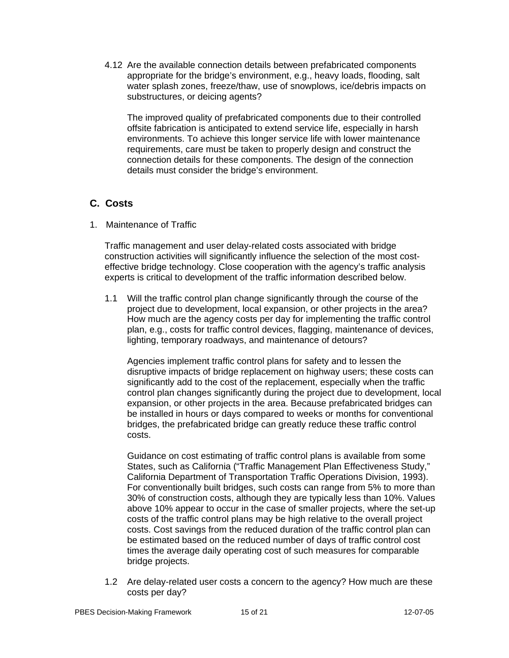4.12 Are the available connection details between prefabricated components appropriate for the bridge's environment, e.g., heavy loads, flooding, salt water splash zones, freeze/thaw, use of snowplows, ice/debris impacts on substructures, or deicing agents?

The improved quality of prefabricated components due to their controlled offsite fabrication is anticipated to extend service life, especially in harsh environments. To achieve this longer service life with lower maintenance requirements, care must be taken to properly design and construct the connection details for these components. The design of the connection details must consider the bridge's environment.

#### **C. Costs**

1. Maintenance of Traffic

Traffic management and user delay-related costs associated with bridge construction activities will significantly influence the selection of the most costeffective bridge technology. Close cooperation with the agency's traffic analysis experts is critical to development of the traffic information described below.

1.1 Will the traffic control plan change significantly through the course of the project due to development, local expansion, or other projects in the area? How much are the agency costs per day for implementing the traffic control plan, e.g., costs for traffic control devices, flagging, maintenance of devices, lighting, temporary roadways, and maintenance of detours?

Agencies implement traffic control plans for safety and to lessen the disruptive impacts of bridge replacement on highway users; these costs can significantly add to the cost of the replacement, especially when the traffic control plan changes significantly during the project due to development, local expansion, or other projects in the area. Because prefabricated bridges can be installed in hours or days compared to weeks or months for conventional bridges, the prefabricated bridge can greatly reduce these traffic control costs.

Guidance on cost estimating of traffic control plans is available from some States, such as California ("Traffic Management Plan Effectiveness Study," California Department of Transportation Traffic Operations Division, 1993). For conventionally built bridges, such costs can range from 5% to more than 30% of construction costs, although they are typically less than 10%. Values above 10% appear to occur in the case of smaller projects, where the set-up costs of the traffic control plans may be high relative to the overall project costs. Cost savings from the reduced duration of the traffic control plan can be estimated based on the reduced number of days of traffic control cost times the average daily operating cost of such measures for comparable bridge projects.

1.2 Are delay-related user costs a concern to the agency? How much are these costs per day?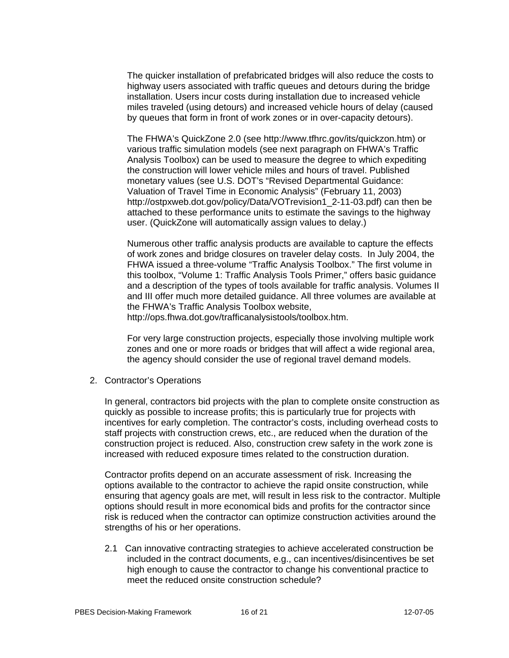The quicker installation of prefabricated bridges will also reduce the costs to highway users associated with traffic queues and detours during the bridge installation. Users incur costs during installation due to increased vehicle miles traveled (using detours) and increased vehicle hours of delay (caused by queues that form in front of work zones or in over-capacity detours).

The FHWA's QuickZone 2.0 (see http://www.tfhrc.gov/its/quickzon.htm) or various traffic simulation models (see next paragraph on FHWA's Traffic Analysis Toolbox) can be used to measure the degree to which expediting the construction will lower vehicle miles and hours of travel. Published monetary values (see U.S. DOT's "Revised Departmental Guidance: Valuation of Travel Time in Economic Analysis" (February 11, 2003) http://ostpxweb.dot.gov/policy/Data/VOTrevision1\_2-11-03.pdf) can then be attached to these performance units to estimate the savings to the highway user. (QuickZone will automatically assign values to delay.)

Numerous other traffic analysis products are available to capture the effects of work zones and bridge closures on traveler delay costs. In July 2004, the FHWA issued a three-volume "Traffic Analysis Toolbox." The first volume in this toolbox, "Volume 1: Traffic Analysis Tools Primer," offers basic guidance and a description of the types of tools available for traffic analysis. Volumes II and III offer much more detailed guidance. All three volumes are available at the FHWA's Traffic Analysis Toolbox website, http://ops.fhwa.dot.gov/trafficanalysistools/toolbox.htm.

For very large construction projects, especially those involving multiple work zones and one or more roads or bridges that will affect a wide regional area, the agency should consider the use of regional travel demand models.

2. Contractor's Operations

In general, contractors bid projects with the plan to complete onsite construction as quickly as possible to increase profits; this is particularly true for projects with incentives for early completion. The contractor's costs, including overhead costs to staff projects with construction crews, etc., are reduced when the duration of the construction project is reduced. Also, construction crew safety in the work zone is increased with reduced exposure times related to the construction duration.

Contractor profits depend on an accurate assessment of risk. Increasing the options available to the contractor to achieve the rapid onsite construction, while ensuring that agency goals are met, will result in less risk to the contractor. Multiple options should result in more economical bids and profits for the contractor since risk is reduced when the contractor can optimize construction activities around the strengths of his or her operations.

2.1 Can innovative contracting strategies to achieve accelerated construction be included in the contract documents, e.g., can incentives/disincentives be set high enough to cause the contractor to change his conventional practice to meet the reduced onsite construction schedule?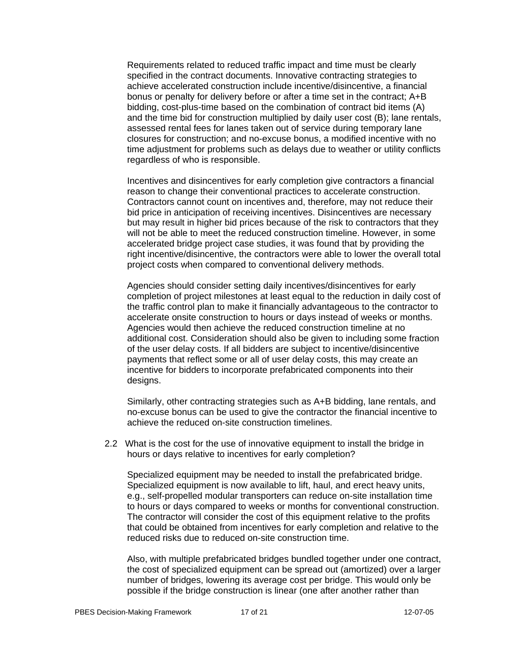Requirements related to reduced traffic impact and time must be clearly specified in the contract documents. Innovative contracting strategies to achieve accelerated construction include incentive/disincentive, a financial bonus or penalty for delivery before or after a time set in the contract; A+B bidding, cost-plus-time based on the combination of contract bid items (A) and the time bid for construction multiplied by daily user cost (B); lane rentals, assessed rental fees for lanes taken out of service during temporary lane closures for construction; and no-excuse bonus, a modified incentive with no time adjustment for problems such as delays due to weather or utility conflicts regardless of who is responsible.

Incentives and disincentives for early completion give contractors a financial reason to change their conventional practices to accelerate construction. Contractors cannot count on incentives and, therefore, may not reduce their bid price in anticipation of receiving incentives. Disincentives are necessary but may result in higher bid prices because of the risk to contractors that they will not be able to meet the reduced construction timeline. However, in some accelerated bridge project case studies, it was found that by providing the right incentive/disincentive, the contractors were able to lower the overall total project costs when compared to conventional delivery methods.

Agencies should consider setting daily incentives/disincentives for early completion of project milestones at least equal to the reduction in daily cost of the traffic control plan to make it financially advantageous to the contractor to accelerate onsite construction to hours or days instead of weeks or months. Agencies would then achieve the reduced construction timeline at no additional cost. Consideration should also be given to including some fraction of the user delay costs. If all bidders are subject to incentive/disincentive payments that reflect some or all of user delay costs, this may create an incentive for bidders to incorporate prefabricated components into their designs.

Similarly, other contracting strategies such as A+B bidding, lane rentals, and no-excuse bonus can be used to give the contractor the financial incentive to achieve the reduced on-site construction timelines.

2.2 What is the cost for the use of innovative equipment to install the bridge in hours or days relative to incentives for early completion?

Specialized equipment may be needed to install the prefabricated bridge. Specialized equipment is now available to lift, haul, and erect heavy units, e.g., self-propelled modular transporters can reduce on-site installation time to hours or days compared to weeks or months for conventional construction. The contractor will consider the cost of this equipment relative to the profits that could be obtained from incentives for early completion and relative to the reduced risks due to reduced on-site construction time.

Also, with multiple prefabricated bridges bundled together under one contract, the cost of specialized equipment can be spread out (amortized) over a larger number of bridges, lowering its average cost per bridge. This would only be possible if the bridge construction is linear (one after another rather than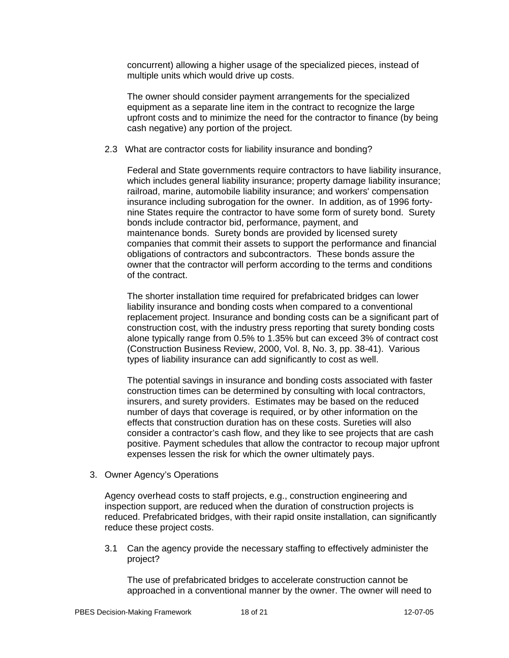concurrent) allowing a higher usage of the specialized pieces, instead of multiple units which would drive up costs.

The owner should consider payment arrangements for the specialized equipment as a separate line item in the contract to recognize the large upfront costs and to minimize the need for the contractor to finance (by being cash negative) any portion of the project.

2.3 What are contractor costs for liability insurance and bonding?

Federal and State governments require contractors to have liability insurance, which includes general liability insurance; property damage liability insurance; railroad, marine, automobile liability insurance; and workers' compensation insurance including subrogation for the owner. In addition, as of 1996 fortynine States require the contractor to have some form of surety bond. Surety bonds include contractor bid, performance, payment, and maintenance bonds. Surety bonds are provided by licensed surety companies that commit their assets to support the performance and financial obligations of contractors and subcontractors. These bonds assure the owner that the contractor will perform according to the terms and conditions of the contract.

The shorter installation time required for prefabricated bridges can lower liability insurance and bonding costs when compared to a conventional replacement project. Insurance and bonding costs can be a significant part of construction cost, with the industry press reporting that surety bonding costs alone typically range from 0.5% to 1.35% but can exceed 3% of contract cost (Construction Business Review, 2000, Vol. 8, No. 3, pp. 38-41). Various types of liability insurance can add significantly to cost as well.

The potential savings in insurance and bonding costs associated with faster construction times can be determined by consulting with local contractors, insurers, and surety providers. Estimates may be based on the reduced number of days that coverage is required, or by other information on the effects that construction duration has on these costs. Sureties will also consider a contractor's cash flow, and they like to see projects that are cash positive. Payment schedules that allow the contractor to recoup major upfront expenses lessen the risk for which the owner ultimately pays.

3. Owner Agency's Operations

Agency overhead costs to staff projects, e.g., construction engineering and inspection support, are reduced when the duration of construction projects is reduced. Prefabricated bridges, with their rapid onsite installation, can significantly reduce these project costs.

3.1 Can the agency provide the necessary staffing to effectively administer the project?

The use of prefabricated bridges to accelerate construction cannot be approached in a conventional manner by the owner. The owner will need to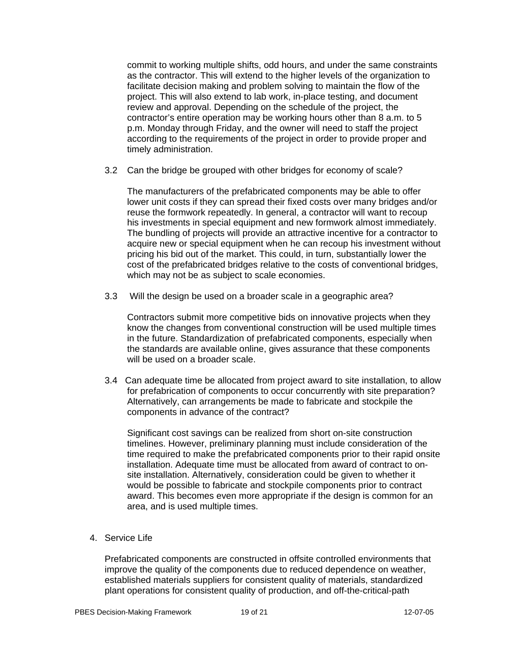commit to working multiple shifts, odd hours, and under the same constraints as the contractor. This will extend to the higher levels of the organization to facilitate decision making and problem solving to maintain the flow of the project. This will also extend to lab work, in-place testing, and document review and approval. Depending on the schedule of the project, the contractor's entire operation may be working hours other than 8 a.m. to 5 p.m. Monday through Friday, and the owner will need to staff the project according to the requirements of the project in order to provide proper and timely administration.

3.2 Can the bridge be grouped with other bridges for economy of scale?

The manufacturers of the prefabricated components may be able to offer lower unit costs if they can spread their fixed costs over many bridges and/or reuse the formwork repeatedly. In general, a contractor will want to recoup his investments in special equipment and new formwork almost immediately. The bundling of projects will provide an attractive incentive for a contractor to acquire new or special equipment when he can recoup his investment without pricing his bid out of the market. This could, in turn, substantially lower the cost of the prefabricated bridges relative to the costs of conventional bridges, which may not be as subject to scale economies.

3.3 Will the design be used on a broader scale in a geographic area?

Contractors submit more competitive bids on innovative projects when they know the changes from conventional construction will be used multiple times in the future. Standardization of prefabricated components, especially when the standards are available online, gives assurance that these components will be used on a broader scale.

3.4 Can adequate time be allocated from project award to site installation, to allow for prefabrication of components to occur concurrently with site preparation? Alternatively, can arrangements be made to fabricate and stockpile the components in advance of the contract?

Significant cost savings can be realized from short on-site construction timelines. However, preliminary planning must include consideration of the time required to make the prefabricated components prior to their rapid onsite installation. Adequate time must be allocated from award of contract to onsite installation. Alternatively, consideration could be given to whether it would be possible to fabricate and stockpile components prior to contract award. This becomes even more appropriate if the design is common for an area, and is used multiple times.

4. Service Life

Prefabricated components are constructed in offsite controlled environments that improve the quality of the components due to reduced dependence on weather, established materials suppliers for consistent quality of materials, standardized plant operations for consistent quality of production, and off-the-critical-path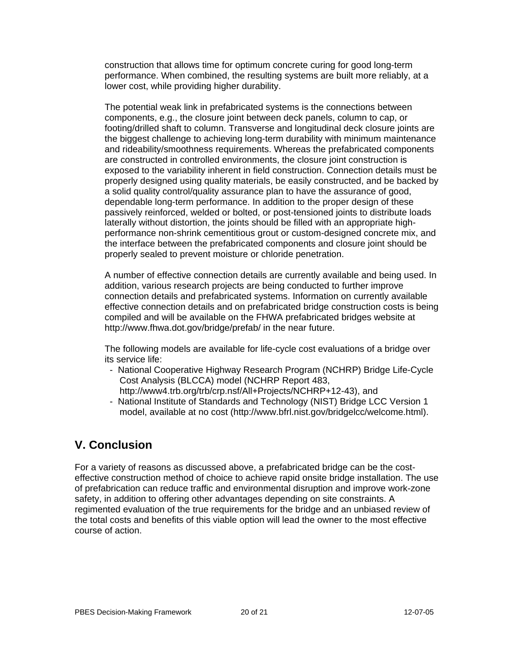construction that allows time for optimum concrete curing for good long-term performance. When combined, the resulting systems are built more reliably, at a lower cost, while providing higher durability.

The potential weak link in prefabricated systems is the connections between components, e.g., the closure joint between deck panels, column to cap, or footing/drilled shaft to column. Transverse and longitudinal deck closure joints are the biggest challenge to achieving long-term durability with minimum maintenance and rideability/smoothness requirements. Whereas the prefabricated components are constructed in controlled environments, the closure joint construction is exposed to the variability inherent in field construction. Connection details must be properly designed using quality materials, be easily constructed, and be backed by a solid quality control/quality assurance plan to have the assurance of good, dependable long-term performance. In addition to the proper design of these passively reinforced, welded or bolted, or post-tensioned joints to distribute loads laterally without distortion, the joints should be filled with an appropriate highperformance non-shrink cementitious grout or custom-designed concrete mix, and the interface between the prefabricated components and closure joint should be properly sealed to prevent moisture or chloride penetration.

A number of effective connection details are currently available and being used. In addition, various research projects are being conducted to further improve connection details and prefabricated systems. Information on currently available effective connection details and on prefabricated bridge construction costs is being compiled and will be available on the FHWA prefabricated bridges website at http://www.fhwa.dot.gov/bridge/prefab/ in the near future.

The following models are available for life-cycle cost evaluations of a bridge over its service life:

- National Cooperative Highway Research Program (NCHRP) Bridge Life-Cycle Cost Analysis (BLCCA) model (NCHRP Report 483, http://www4.trb.org/trb/crp.nsf/All+Projects/NCHRP+12-43), and
- National Institute of Standards and Technology (NIST) Bridge LCC Version 1 model, available at no cost (http://www.bfrl.nist.gov/bridgelcc/welcome.html).

### **V. Conclusion**

For a variety of reasons as discussed above, a prefabricated bridge can be the costeffective construction method of choice to achieve rapid onsite bridge installation. The use of prefabrication can reduce traffic and environmental disruption and improve work-zone safety, in addition to offering other advantages depending on site constraints. A regimented evaluation of the true requirements for the bridge and an unbiased review of the total costs and benefits of this viable option will lead the owner to the most effective course of action.